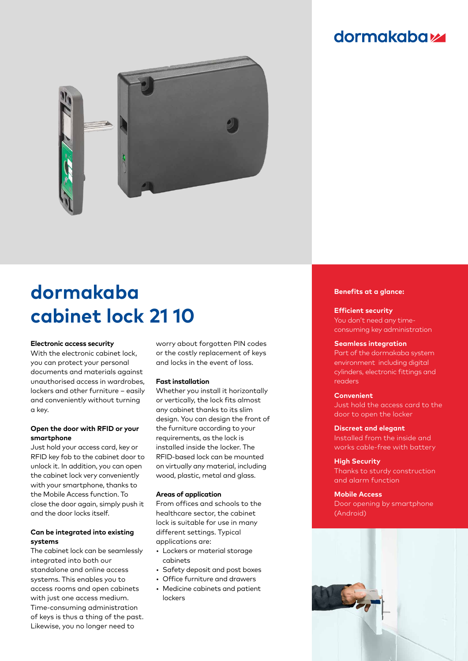# **dormakabazz**



# **dormakaba cabinet lock 21 10**

#### **Electronic access security**

With the electronic cabinet lock, you can protect your personal documents and materials against unauthorised access in wardrobes, lockers and other furniture – easily and conveniently without turning a key.

# **Open the door with RFID or your smartphone**

Just hold your access card, key or RFID key fob to the cabinet door to unlock it. In addition, you can open the cabinet lock very conveniently with your smartphone, thanks to the Mobile Access function. To close the door again, simply push it and the door locks itself.

# **Can be integrated into existing systems**

The cabinet lock can be seamlessly integrated into both our standalone and online access systems. This enables you to access rooms and open cabinets with just one access medium. Time-consuming administration of keys is thus a thing of the past. Likewise, you no longer need to

worry about forgotten PIN codes or the costly replacement of keys and locks in the event of loss.

#### **Fast installation**

Whether you install it horizontally or vertically, the lock fits almost any cabinet thanks to its slim design. You can design the front of the furniture according to your requirements, as the lock is installed inside the locker. The RFID-based lock can be mounted on virtually any material, including wood, plastic, metal and glass.

## **Areas of application**

From offices and schools to the healthcare sector, the cabinet lock is suitable for use in many different settings. Typical applications are:

- Lockers or material storage cabinets
- Safety deposit and post boxes
- Office furniture and drawers
- Medicine cabinets and patient lockers

#### **Benefits at a glance:**

#### **Efficient security**

You don't need any timeconsuming key administration

#### **Seamless integration**

Part of the dormakaba system environment including digital cylinders, electronic fittings and readers

#### **Convenient**

Just hold the access card to the door to open the locker

#### **Discreet and elegant**

Installed from the inside and works cable-free with battery

#### **High Security**

Thanks to sturdy construction and alarm function

## **Mobile Access**

Door opening by smartphone (Android)